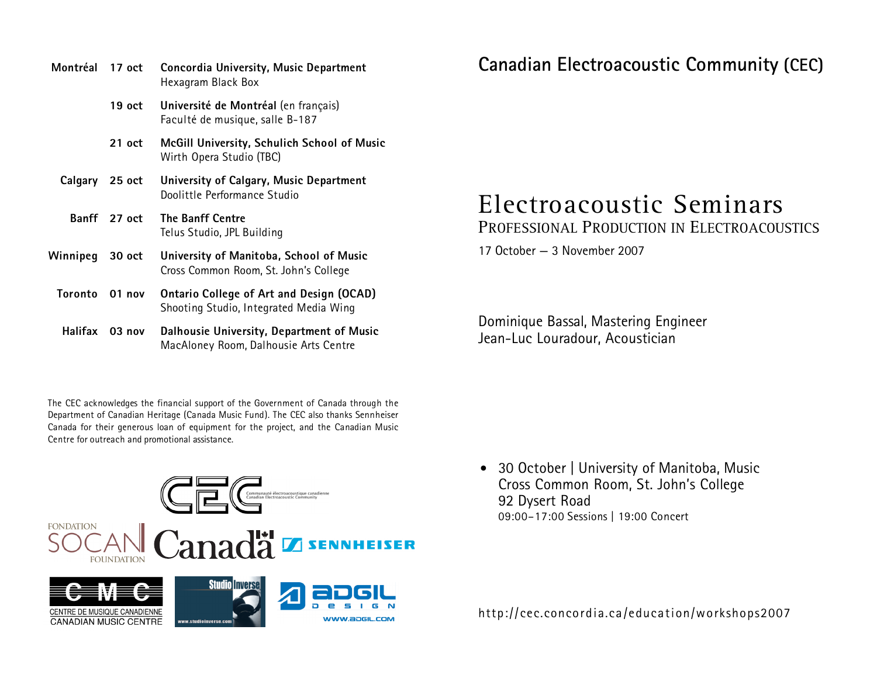**Montréal 17 oct Concordia University, Music Department**  Hexagram Black Box  **19 oct Université de Montréal** (en français) Faculté de musique, salle B-187  **21 oct McGill University, Schulich School of Music**  Wirth Opera Studio (TBC) **Calgary 25 oct University of Calgary, Music Department**  Doolittle Performance Studio **Banff 27 oct The Banff Centre**  Telus Studio, JPL Building **Winnipeg 30 oct University of Manitoba, School of Music**  Cross Common Room, St. John's College **Toronto 01 nov Ontario College of Art and Design (OCAD)**  Shooting Studio, Integrated Media Wing **Halifax 03 nov Dalhousie University, Department of Music**  MacAloney Room, Dalhousie Arts Centre

The CEC acknowledges the financial support of the Government of Canada through the Department of Canadian Heritage (Canada Music Fund). The CEC also thanks Sennheiser Canada for their generous loan of equipment for the project, and the Canadian Music Centre for outreach and promotional assistance.

# **Canadian Electroacoustic Community (CEC)**

# Electroacoustic Seminars

Professional Production in Electroacoustics

17 October — 3 November 2007

Dominique Bassal, Mastering Engineer Jean-Luc Louradour, Acoustician

• 30 October | University of Manitoba, Music Cross Common Room, St. John's College 92 Dysert Road 09:00–17:00 Sessions | 19:00 Concert

http://cec.concordia.ca/education/workshops2007